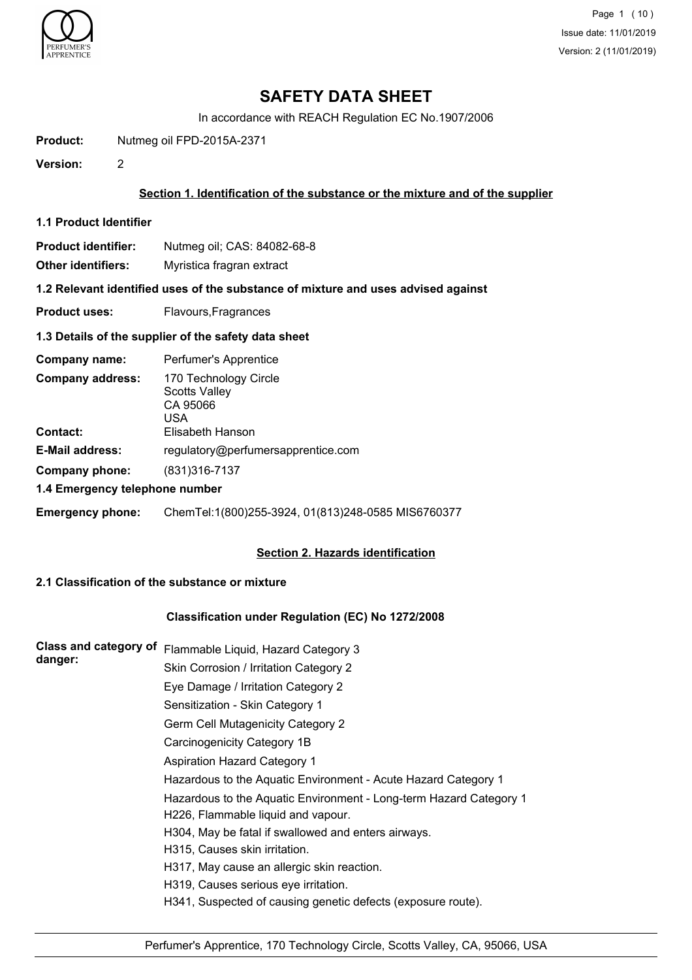

Page 1 (10) Issue date: 11/01/2019 Version: 2 (11/01/2019)

## **SAFETY DATA SHEET**

In accordance with REACH Regulation EC No.1907/2006

**Product:** Nutmeg oil FPD-2015A-2371

**Version:** 2

## **Section 1. Identification of the substance or the mixture and of the supplier**

**1.1 Product Identifier**

|  | Product identifier: | Nutmeg oil; CAS: 84082-68-8 |
|--|---------------------|-----------------------------|
|--|---------------------|-----------------------------|

**Other identifiers:** Myristica fragran extract

**1.2 Relevant identified uses of the substance of mixture and uses advised against**

**Product uses:** Flavours, Fragrances

### **1.3 Details of the supplier of the safety data sheet**

| Company name:                              | Perfumer's Apprentice                                                         |
|--------------------------------------------|-------------------------------------------------------------------------------|
| <b>Company address:</b><br><b>Contact:</b> | 170 Technology Circle<br>Scotts Valley<br>CA 95066<br>USA<br>Elisabeth Hanson |
| <b>E-Mail address:</b>                     | regulatory@perfumersapprentice.com                                            |
| Company phone:                             | (831) 316 - 7137                                                              |
| 1.4 Emergency telephone number             |                                                                               |
| <b>Emergency phone:</b>                    | ChemTel:1(800)255-3924, 01(813)248-0585 MIS6760377                            |

## **Section 2. Hazards identification**

## **2.1 Classification of the substance or mixture**

## **Classification under Regulation (EC) No 1272/2008**

| <b>Class and category of</b> | Flammable Liquid, Hazard Category 3                                |
|------------------------------|--------------------------------------------------------------------|
| danger:                      | Skin Corrosion / Irritation Category 2                             |
|                              | Eye Damage / Irritation Category 2                                 |
|                              | Sensitization - Skin Category 1                                    |
|                              | Germ Cell Mutagenicity Category 2                                  |
|                              | Carcinogenicity Category 1B                                        |
|                              | <b>Aspiration Hazard Category 1</b>                                |
|                              | Hazardous to the Aquatic Environment - Acute Hazard Category 1     |
|                              | Hazardous to the Aquatic Environment - Long-term Hazard Category 1 |
|                              | H226, Flammable liquid and vapour.                                 |
|                              | H304, May be fatal if swallowed and enters airways.                |
|                              | H315, Causes skin irritation.                                      |
|                              | H317, May cause an allergic skin reaction.                         |
|                              | H319, Causes serious eye irritation.                               |
|                              | H341, Suspected of causing genetic defects (exposure route).       |
|                              |                                                                    |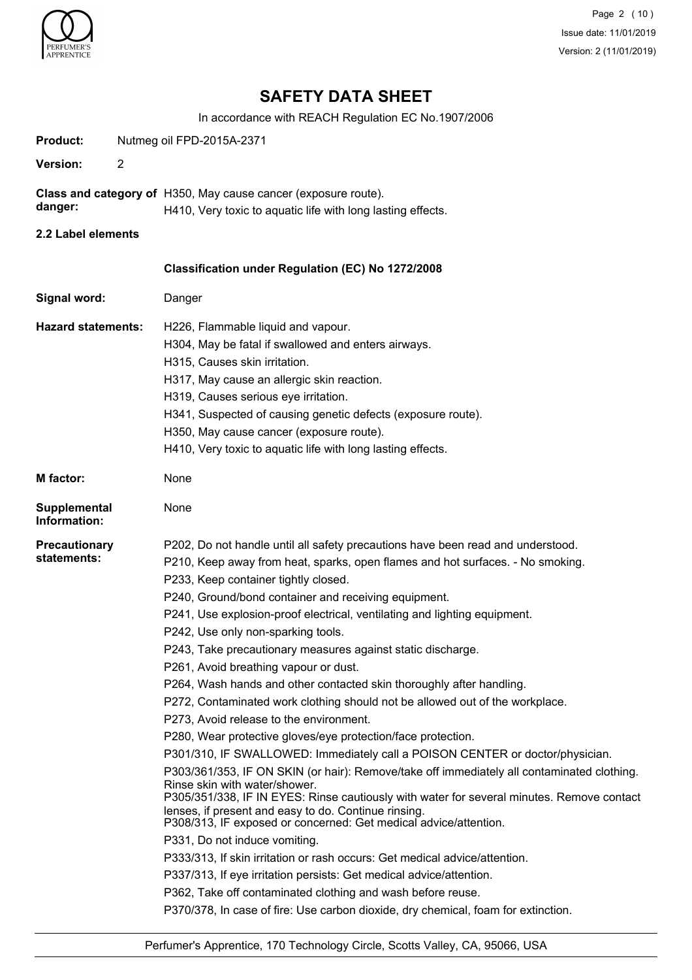

Page 2 (10) Issue date: 11/01/2019 Version: 2 (11/01/2019)

# **SAFETY DATA SHEET**

In accordance with REACH Regulation EC No.1907/2006

| Product:                            |                | Nutmeg oil FPD-2015A-2371                                                                                                                                                                                                                                                                                                                                                                                                                                                                                                                                                                                                                                                                                                                                                                                                                                                                                                                                                                                                                                                                                                                                                                                                                                                                                                                                                                                                                                                                                                                          |
|-------------------------------------|----------------|----------------------------------------------------------------------------------------------------------------------------------------------------------------------------------------------------------------------------------------------------------------------------------------------------------------------------------------------------------------------------------------------------------------------------------------------------------------------------------------------------------------------------------------------------------------------------------------------------------------------------------------------------------------------------------------------------------------------------------------------------------------------------------------------------------------------------------------------------------------------------------------------------------------------------------------------------------------------------------------------------------------------------------------------------------------------------------------------------------------------------------------------------------------------------------------------------------------------------------------------------------------------------------------------------------------------------------------------------------------------------------------------------------------------------------------------------------------------------------------------------------------------------------------------------|
| <b>Version:</b>                     | $\overline{2}$ |                                                                                                                                                                                                                                                                                                                                                                                                                                                                                                                                                                                                                                                                                                                                                                                                                                                                                                                                                                                                                                                                                                                                                                                                                                                                                                                                                                                                                                                                                                                                                    |
| danger:                             |                | Class and category of H350, May cause cancer (exposure route).<br>H410, Very toxic to aquatic life with long lasting effects.                                                                                                                                                                                                                                                                                                                                                                                                                                                                                                                                                                                                                                                                                                                                                                                                                                                                                                                                                                                                                                                                                                                                                                                                                                                                                                                                                                                                                      |
| 2.2 Label elements                  |                |                                                                                                                                                                                                                                                                                                                                                                                                                                                                                                                                                                                                                                                                                                                                                                                                                                                                                                                                                                                                                                                                                                                                                                                                                                                                                                                                                                                                                                                                                                                                                    |
|                                     |                |                                                                                                                                                                                                                                                                                                                                                                                                                                                                                                                                                                                                                                                                                                                                                                                                                                                                                                                                                                                                                                                                                                                                                                                                                                                                                                                                                                                                                                                                                                                                                    |
|                                     |                | Classification under Regulation (EC) No 1272/2008                                                                                                                                                                                                                                                                                                                                                                                                                                                                                                                                                                                                                                                                                                                                                                                                                                                                                                                                                                                                                                                                                                                                                                                                                                                                                                                                                                                                                                                                                                  |
| Signal word:                        |                | Danger                                                                                                                                                                                                                                                                                                                                                                                                                                                                                                                                                                                                                                                                                                                                                                                                                                                                                                                                                                                                                                                                                                                                                                                                                                                                                                                                                                                                                                                                                                                                             |
| <b>Hazard statements:</b>           |                | H226, Flammable liquid and vapour.<br>H304, May be fatal if swallowed and enters airways.<br>H315, Causes skin irritation.<br>H317, May cause an allergic skin reaction.<br>H319, Causes serious eye irritation.<br>H341, Suspected of causing genetic defects (exposure route).<br>H350, May cause cancer (exposure route).<br>H410, Very toxic to aquatic life with long lasting effects.                                                                                                                                                                                                                                                                                                                                                                                                                                                                                                                                                                                                                                                                                                                                                                                                                                                                                                                                                                                                                                                                                                                                                        |
| <b>M</b> factor:                    |                | None                                                                                                                                                                                                                                                                                                                                                                                                                                                                                                                                                                                                                                                                                                                                                                                                                                                                                                                                                                                                                                                                                                                                                                                                                                                                                                                                                                                                                                                                                                                                               |
| <b>Supplemental</b><br>Information: |                | None                                                                                                                                                                                                                                                                                                                                                                                                                                                                                                                                                                                                                                                                                                                                                                                                                                                                                                                                                                                                                                                                                                                                                                                                                                                                                                                                                                                                                                                                                                                                               |
| <b>Precautionary</b><br>statements: |                | P202, Do not handle until all safety precautions have been read and understood.<br>P210, Keep away from heat, sparks, open flames and hot surfaces. - No smoking.<br>P233, Keep container tightly closed.<br>P240, Ground/bond container and receiving equipment.<br>P241, Use explosion-proof electrical, ventilating and lighting equipment.<br>P242, Use only non-sparking tools.<br>P243, Take precautionary measures against static discharge.<br>P261, Avoid breathing vapour or dust.<br>P264, Wash hands and other contacted skin thoroughly after handling.<br>P272, Contaminated work clothing should not be allowed out of the workplace.<br>P273, Avoid release to the environment.<br>P280, Wear protective gloves/eye protection/face protection.<br>P301/310, IF SWALLOWED: Immediately call a POISON CENTER or doctor/physician.<br>P303/361/353, IF ON SKIN (or hair): Remove/take off immediately all contaminated clothing.<br>Rinse skin with water/shower.<br>P305/351/338, IF IN EYES: Rinse cautiously with water for several minutes. Remove contact<br>lenses, if present and easy to do. Continue rinsing.<br>P308/313, IF exposed or concerned: Get medical advice/attention.<br>P331, Do not induce vomiting.<br>P333/313, If skin irritation or rash occurs: Get medical advice/attention.<br>P337/313, If eye irritation persists: Get medical advice/attention.<br>P362, Take off contaminated clothing and wash before reuse.<br>P370/378, In case of fire: Use carbon dioxide, dry chemical, foam for extinction. |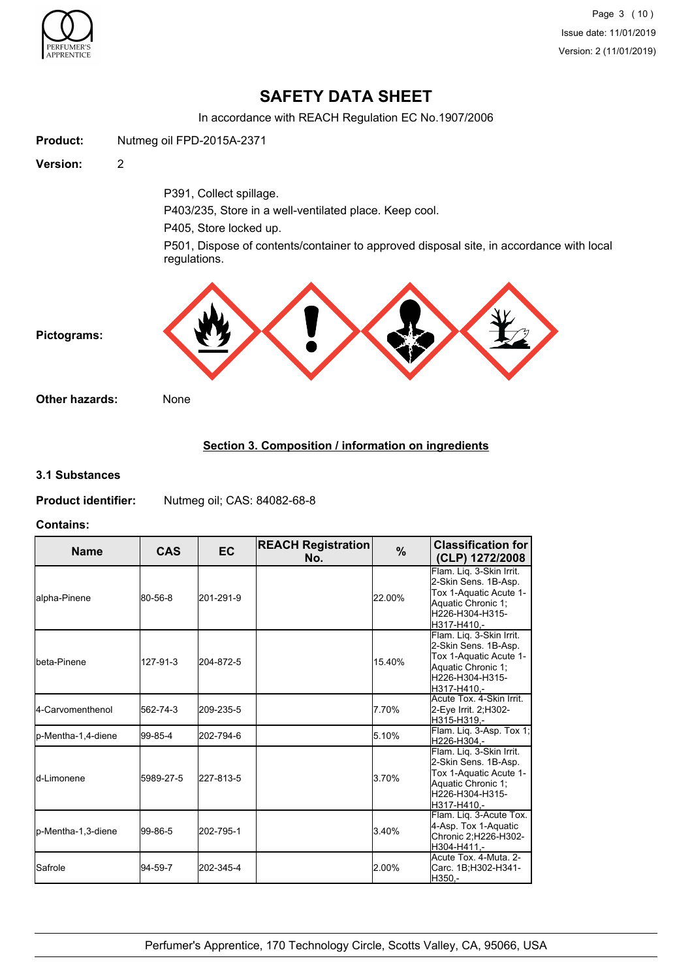

Page 3 (10) Issue date: 11/01/2019 Version: 2 (11/01/2019)

## **SAFETY DATA SHEET**

In accordance with REACH Regulation EC No.1907/2006



## **Section 3. Composition / information on ingredients**

### **3.1 Substances**

**Product identifier:** Nutmeg oil; CAS: 84082-68-8

#### **Contains:**

| <b>Name</b>         | <b>CAS</b> | <b>EC</b> | <b>REACH Registration</b><br>No. | %      | <b>Classification for</b><br>(CLP) 1272/2008                                                                                       |
|---------------------|------------|-----------|----------------------------------|--------|------------------------------------------------------------------------------------------------------------------------------------|
| lalpha-Pinene       | 80-56-8    | 201-291-9 |                                  | 22.00% | Flam. Liq. 3-Skin Irrit.<br>2-Skin Sens. 1B-Asp.<br>Tox 1-Aquatic Acute 1-<br>Aquatic Chronic 1;<br>H226-H304-H315-<br>H317-H410,- |
| Ibeta-Pinene        | 127-91-3   | 204-872-5 |                                  | 15.40% | Flam. Liq. 3-Skin Irrit.<br>2-Skin Sens. 1B-Asp.<br>Tox 1-Aquatic Acute 1-<br>Aquatic Chronic 1;<br>H226-H304-H315-<br>H317-H410.- |
| 4-Carvomenthenol    | 562-74-3   | 209-235-5 |                                  | 7.70%  | Acute Tox. 4-Skin Irrit.<br>2-Eye Irrit. 2:H302-<br>H315-H319.-                                                                    |
| p-Mentha-1,4-diene  | 99-85-4    | 202-794-6 |                                  | 5.10%  | Flam. Liq. 3-Asp. Tox 1,<br>H226-H304.-                                                                                            |
| <b>l</b> d-Limonene | 5989-27-5  | 227-813-5 |                                  | 3.70%  | Flam. Liq. 3-Skin Irrit.<br>2-Skin Sens. 1B-Asp.<br>Tox 1-Aquatic Acute 1-<br>Aquatic Chronic 1;<br>H226-H304-H315-<br>H317-H410.- |
| lp-Mentha-1,3-diene | 99-86-5    | 202-795-1 |                                  | 3.40%  | Flam. Liq. 3-Acute Tox.<br>4-Asp. Tox 1-Aquatic<br>Chronic 2;H226-H302-<br>H304-H411.-                                             |
| <b>I</b> Safrole    | 94-59-7    | 202-345-4 |                                  | 2.00%  | Acute Tox. 4-Muta. 2-<br>Carc. 1B;H302-H341-<br>H350,-                                                                             |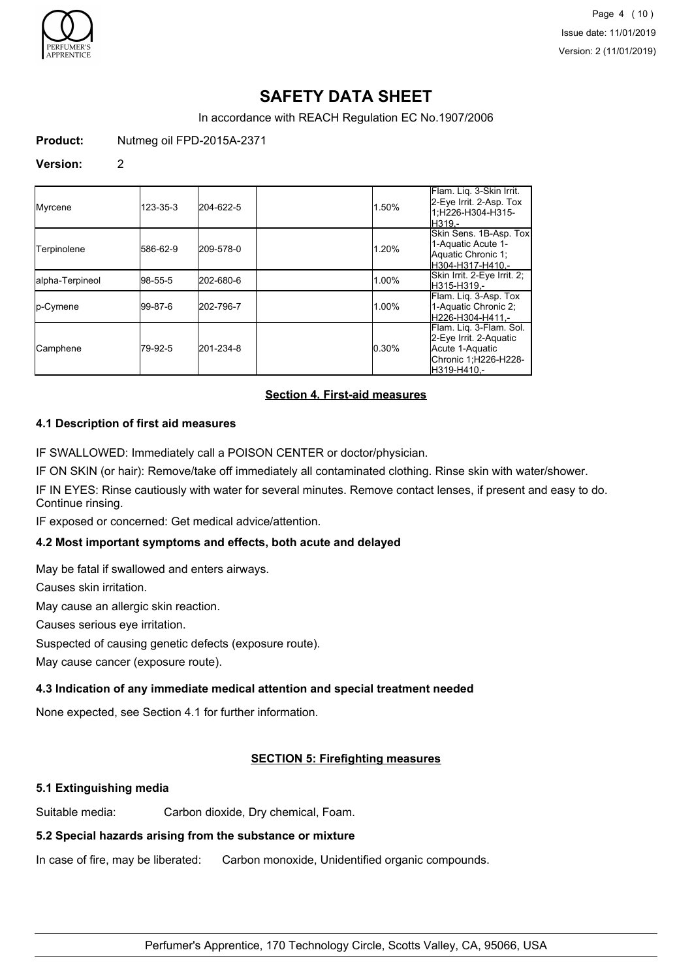

Page 4 (10) Issue date: 11/01/2019 Version: 2 (11/01/2019)

# **SAFETY DATA SHEET**

In accordance with REACH Regulation EC No.1907/2006

**Product:** Nutmeg oil FPD-2015A-2371

### **Version:** 2

| Myrcene           | 123-35-3 | 204-622-5 | 1.50% | Flam. Liq. 3-Skin Irrit.<br>2-Eye Irrit. 2-Asp. Tox<br>1;H226-H304-H315-<br>H319.-                          |
|-------------------|----------|-----------|-------|-------------------------------------------------------------------------------------------------------------|
| Terpinolene       | 586-62-9 | 209-578-0 | 1.20% | Skin Sens. 1B-Asp. Tox<br>1-Aquatic Acute 1-<br>Aquatic Chronic 1:<br>H304-H317-H410.-                      |
| alpha-Terpineol   | 98-55-5  | 202-680-6 | 1.00% | Skin Irrit. 2-Eye Irrit. 2;<br>H315-H319.-                                                                  |
| <b>I</b> p-Cymene | 199-87-6 | 202-796-7 | 1.00% | Flam. Liq. 3-Asp. Tox<br>1-Aquatic Chronic 2;<br>H226-H304-H411.-                                           |
| <b>Camphene</b>   | 79-92-5  | 201-234-8 | 0.30% | Flam. Liq. 3-Flam. Sol.<br>2-Eye Irrit. 2-Aquatic<br>Acute 1-Aquatic<br>Chronic 1;H226-H228-<br>H319-H410.- |

## **Section 4. First-aid measures**

### **4.1 Description of first aid measures**

IF SWALLOWED: Immediately call a POISON CENTER or doctor/physician.

IF ON SKIN (or hair): Remove/take off immediately all contaminated clothing. Rinse skin with water/shower.

IF IN EYES: Rinse cautiously with water for several minutes. Remove contact lenses, if present and easy to do. Continue rinsing.

IF exposed or concerned: Get medical advice/attention.

## **4.2 Most important symptoms and effects, both acute and delayed**

May be fatal if swallowed and enters airways.

Causes skin irritation.

May cause an allergic skin reaction.

Causes serious eye irritation.

Suspected of causing genetic defects (exposure route).

May cause cancer (exposure route).

## **4.3 Indication of any immediate medical attention and special treatment needed**

None expected, see Section 4.1 for further information.

## **SECTION 5: Firefighting measures**

## **5.1 Extinguishing media**

Suitable media: Carbon dioxide, Dry chemical, Foam.

#### **5.2 Special hazards arising from the substance or mixture**

In case of fire, may be liberated: Carbon monoxide, Unidentified organic compounds.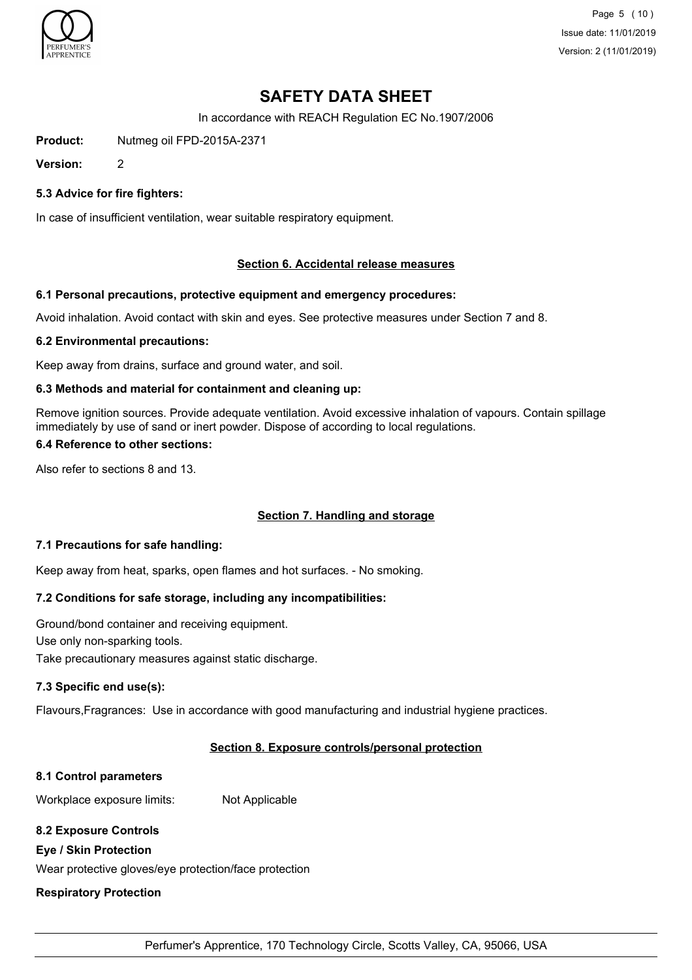

Page 5 (10) Issue date: 11/01/2019 Version: 2 (11/01/2019)

# **SAFETY DATA SHEET**

In accordance with REACH Regulation EC No.1907/2006

**Product:** Nutmeg oil FPD-2015A-2371

**Version:** 2

## **5.3 Advice for fire fighters:**

In case of insufficient ventilation, wear suitable respiratory equipment.

### **Section 6. Accidental release measures**

#### **6.1 Personal precautions, protective equipment and emergency procedures:**

Avoid inhalation. Avoid contact with skin and eyes. See protective measures under Section 7 and 8.

#### **6.2 Environmental precautions:**

Keep away from drains, surface and ground water, and soil.

#### **6.3 Methods and material for containment and cleaning up:**

Remove ignition sources. Provide adequate ventilation. Avoid excessive inhalation of vapours. Contain spillage immediately by use of sand or inert powder. Dispose of according to local regulations.

#### **6.4 Reference to other sections:**

Also refer to sections 8 and 13.

## **Section 7. Handling and storage**

#### **7.1 Precautions for safe handling:**

Keep away from heat, sparks, open flames and hot surfaces. - No smoking.

## **7.2 Conditions for safe storage, including any incompatibilities:**

Ground/bond container and receiving equipment. Use only non-sparking tools. Take precautionary measures against static discharge.

#### **7.3 Specific end use(s):**

Flavours,Fragrances: Use in accordance with good manufacturing and industrial hygiene practices.

#### **Section 8. Exposure controls/personal protection**

#### **8.1 Control parameters**

Workplace exposure limits: Not Applicable

## **8.2 Exposure Controls**

#### **Eye / Skin Protection**

Wear protective gloves/eye protection/face protection

#### **Respiratory Protection**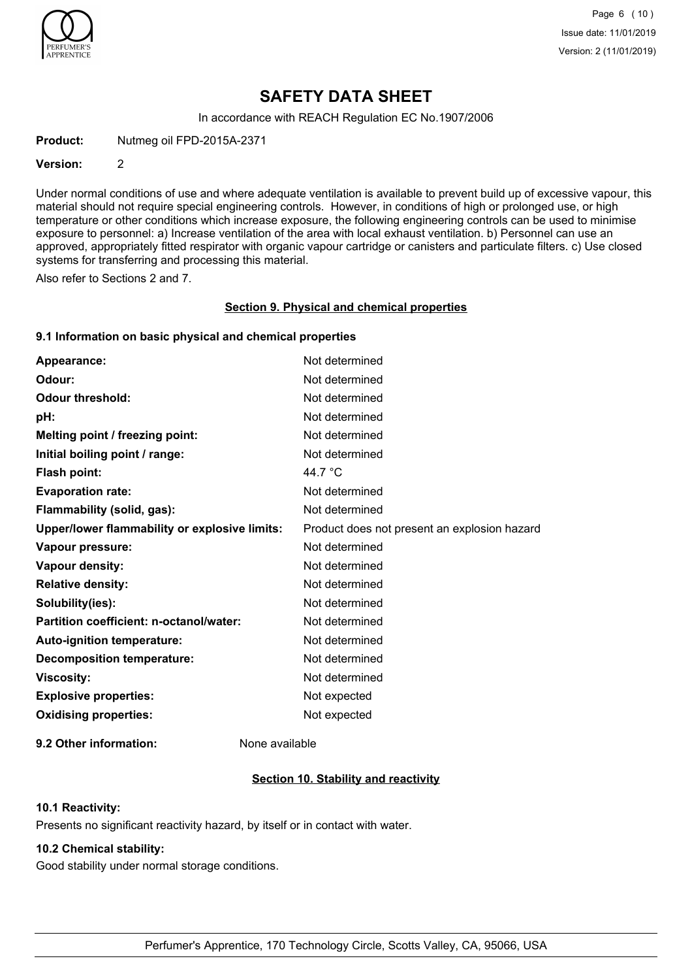

Page 6 (10) Issue date: 11/01/2019 Version: 2 (11/01/2019)

## **SAFETY DATA SHEET**

In accordance with REACH Regulation EC No.1907/2006

**Product:** Nutmeg oil FPD-2015A-2371

#### **Version:** 2

Under normal conditions of use and where adequate ventilation is available to prevent build up of excessive vapour, this material should not require special engineering controls. However, in conditions of high or prolonged use, or high temperature or other conditions which increase exposure, the following engineering controls can be used to minimise exposure to personnel: a) Increase ventilation of the area with local exhaust ventilation. b) Personnel can use an approved, appropriately fitted respirator with organic vapour cartridge or canisters and particulate filters. c) Use closed systems for transferring and processing this material.

Also refer to Sections 2 and 7.

#### **Section 9. Physical and chemical properties**

### **9.1 Information on basic physical and chemical properties**

| Appearance:                                          | Not determined                               |
|------------------------------------------------------|----------------------------------------------|
| Odour:                                               | Not determined                               |
| <b>Odour threshold:</b>                              | Not determined                               |
| pH:                                                  | Not determined                               |
| Melting point / freezing point:                      | Not determined                               |
| Initial boiling point / range:                       | Not determined                               |
| <b>Flash point:</b>                                  | 44.7 °C                                      |
| <b>Evaporation rate:</b>                             | Not determined                               |
| Flammability (solid, gas):                           | Not determined                               |
| <b>Upper/lower flammability or explosive limits:</b> | Product does not present an explosion hazard |
| Vapour pressure:                                     | Not determined                               |
| Vapour density:                                      | Not determined                               |
| <b>Relative density:</b>                             | Not determined                               |
| Solubility(ies):                                     | Not determined                               |
| Partition coefficient: n-octanol/water:              | Not determined                               |
| <b>Auto-ignition temperature:</b>                    | Not determined                               |
| <b>Decomposition temperature:</b>                    | Not determined                               |
| <b>Viscosity:</b>                                    | Not determined                               |
| <b>Explosive properties:</b>                         | Not expected                                 |
| <b>Oxidising properties:</b>                         | Not expected                                 |
|                                                      |                                              |

**9.2 Other information:** None available

## **Section 10. Stability and reactivity**

### **10.1 Reactivity:**

Presents no significant reactivity hazard, by itself or in contact with water.

## **10.2 Chemical stability:**

Good stability under normal storage conditions.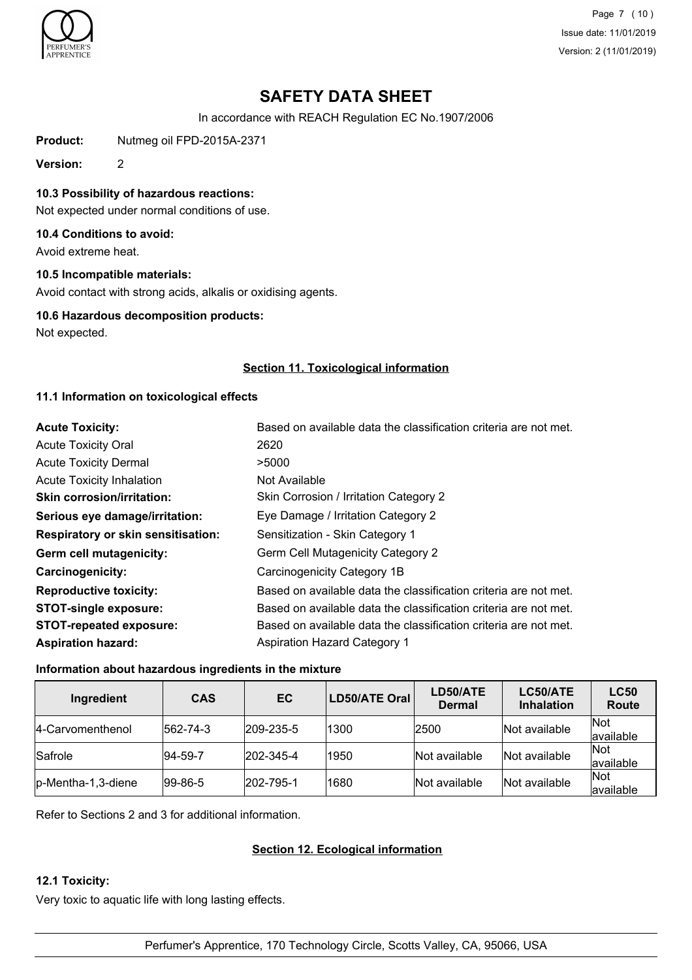

Page 7 (10) Issue date: 11/01/2019 Version: 2 (11/01/2019)

# **SAFETY DATA SHEET**

In accordance with REACH Regulation EC No.1907/2006

**Product:** Nutmeg oil FPD-2015A-2371

**Version:** 2

**10.3 Possibility of hazardous reactions:**

Not expected under normal conditions of use.

## **10.4 Conditions to avoid:**

Avoid extreme heat.

## **10.5 Incompatible materials:**

Avoid contact with strong acids, alkalis or oxidising agents.

### **10.6 Hazardous decomposition products:**

Not expected.

## **Section 11. Toxicological information**

## **11.1 Information on toxicological effects**

| <b>Acute Toxicity:</b>                    | Based on available data the classification criteria are not met. |
|-------------------------------------------|------------------------------------------------------------------|
| <b>Acute Toxicity Oral</b>                | 2620                                                             |
| <b>Acute Toxicity Dermal</b>              | >5000                                                            |
| <b>Acute Toxicity Inhalation</b>          | Not Available                                                    |
| <b>Skin corrosion/irritation:</b>         | Skin Corrosion / Irritation Category 2                           |
| Serious eye damage/irritation:            | Eye Damage / Irritation Category 2                               |
| <b>Respiratory or skin sensitisation:</b> | Sensitization - Skin Category 1                                  |
| Germ cell mutagenicity:                   | Germ Cell Mutagenicity Category 2                                |
| <b>Carcinogenicity:</b>                   | Carcinogenicity Category 1B                                      |
| <b>Reproductive toxicity:</b>             | Based on available data the classification criteria are not met. |
| <b>STOT-single exposure:</b>              | Based on available data the classification criteria are not met. |
| <b>STOT-repeated exposure:</b>            | Based on available data the classification criteria are not met. |
| <b>Aspiration hazard:</b>                 | <b>Aspiration Hazard Category 1</b>                              |

## **Information about hazardous ingredients in the mixture**

| Ingredient          | <b>CAS</b>  | EC                | LD50/ATE Oral | LD50/ATE<br><b>Dermal</b> | LC50/ATE<br><b>Inhalation</b> | <b>LC50</b><br><b>Route</b> |
|---------------------|-------------|-------------------|---------------|---------------------------|-------------------------------|-----------------------------|
| 14-Carvomenthenol   | 562-74-3    | 209-235-5         | 1300          | 2500                      | Not available                 | <b>Not</b><br>available     |
| Safrole             | $ 94-59-7 $ | $ 202 - 345 - 4 $ | 1950          | Not available             | Not available                 | Not<br>available            |
| lp-Mentha-1,3-diene | $ 99-86-5 $ | 202-795-1         | 1680          | Not available             | Not available                 | Not<br>lavailable           |

Refer to Sections 2 and 3 for additional information.

## **Section 12. Ecological information**

## **12.1 Toxicity:**

Very toxic to aquatic life with long lasting effects.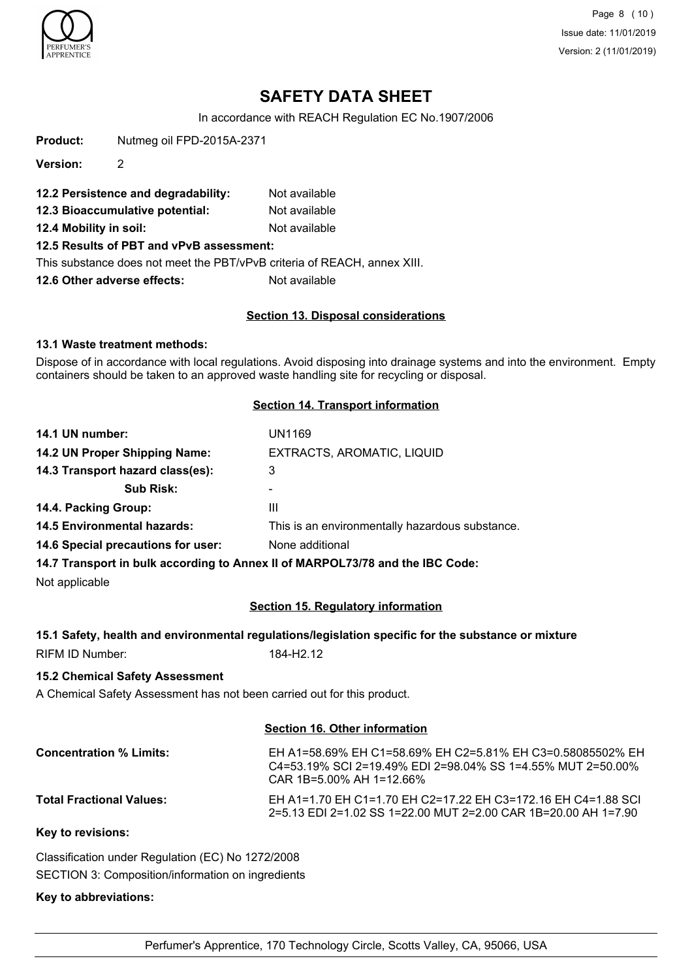

Page 8 (10) Issue date: 11/01/2019 Version: 2 (11/01/2019)

# **SAFETY DATA SHEET**

In accordance with REACH Regulation EC No.1907/2006

**Product:** Nutmeg oil FPD-2015A-2371

**Version:** 2

- **12.2 Persistence and degradability:** Not available
- **12.3 Bioaccumulative potential:** Not available

**12.4 Mobility in soil:** Not available

**12.5 Results of PBT and vPvB assessment:**

This substance does not meet the PBT/vPvB criteria of REACH, annex XIII.

**12.6 Other adverse effects:** Not available

## **Section 13. Disposal considerations**

### **13.1 Waste treatment methods:**

Dispose of in accordance with local regulations. Avoid disposing into drainage systems and into the environment. Empty containers should be taken to an approved waste handling site for recycling or disposal.

## **Section 14. Transport information**

| 14.1 UN number:                    | UN1169                                          |
|------------------------------------|-------------------------------------------------|
| 14.2 UN Proper Shipping Name:      | EXTRACTS, AROMATIC, LIQUID                      |
| 14.3 Transport hazard class(es):   | 3                                               |
| <b>Sub Risk:</b>                   | ۰                                               |
| 14.4. Packing Group:               | Ш                                               |
| <b>14.5 Environmental hazards:</b> | This is an environmentally hazardous substance. |
| 14.6 Special precautions for user: | None additional                                 |
|                                    | <b></b>                                         |

**14.7 Transport in bulk according to Annex II of MARPOL73/78 and the IBC Code:**

Not applicable

## **Section 15. Regulatory information**

|                 | 15.1 Safety, health and environmental regulations/legislation specific for the substance or mixture |
|-----------------|-----------------------------------------------------------------------------------------------------|
| RIFM ID Number: | 184-H2.12                                                                                           |

## **15.2 Chemical Safety Assessment**

A Chemical Safety Assessment has not been carried out for this product.

#### **Section 16. Other information**

| <b>Concentration % Limits:</b>  | EH A1=58.69% EH C1=58.69% EH C2=5.81% EH C3=0.58085502% EH<br>C4=53.19% SCI 2=19.49% EDI 2=98.04% SS 1=4.55% MUT 2=50.00%<br>CAR 1B=5.00% AH 1=12.66% |
|---------------------------------|-------------------------------------------------------------------------------------------------------------------------------------------------------|
| <b>Total Fractional Values:</b> | EH A1=1.70 EH C1=1.70 EH C2=17.22 EH C3=172.16 EH C4=1.88 SCI<br>2=5.13 EDI 2=1.02 SS 1=22.00 MUT 2=2.00 CAR 1B=20.00 AH 1=7.90                       |
| Key to revisions:               |                                                                                                                                                       |

Classification under Regulation (EC) No 1272/2008 SECTION 3: Composition/information on ingredients

#### **Key to abbreviations:**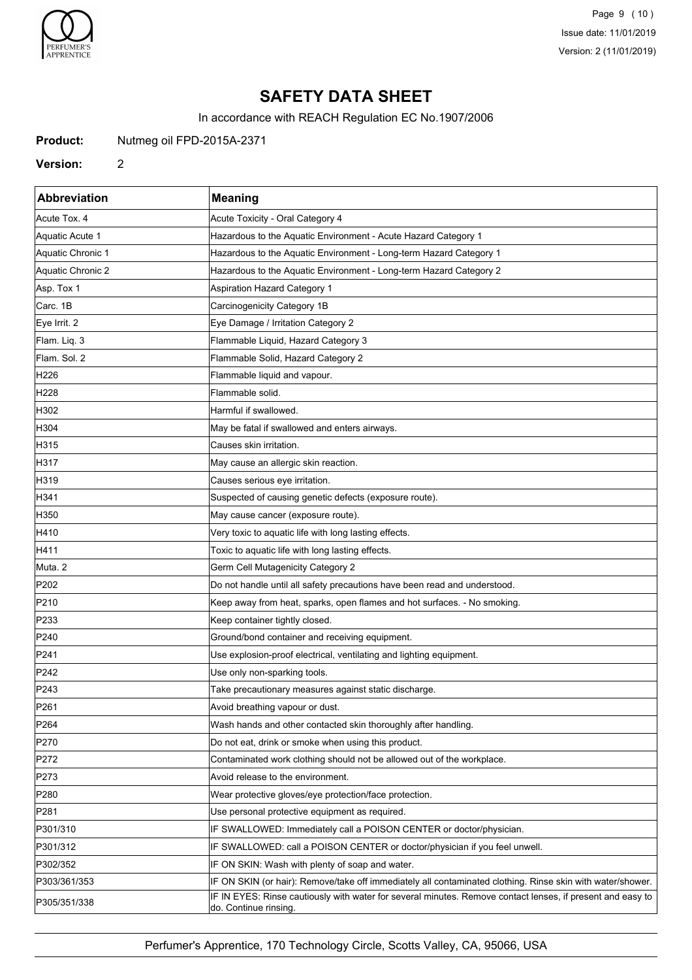

Page 9 (10) Issue date: 11/01/2019 Version: 2 (11/01/2019)

# **SAFETY DATA SHEET**

In accordance with REACH Regulation EC No.1907/2006

**Product:** Nutmeg oil FPD-2015A-2371

### **Version:** 2

| Abbreviation      | <b>Meaning</b>                                                                                                                      |
|-------------------|-------------------------------------------------------------------------------------------------------------------------------------|
| Acute Tox. 4      | Acute Toxicity - Oral Category 4                                                                                                    |
| Aquatic Acute 1   | Hazardous to the Aquatic Environment - Acute Hazard Category 1                                                                      |
| Aquatic Chronic 1 | Hazardous to the Aquatic Environment - Long-term Hazard Category 1                                                                  |
| Aquatic Chronic 2 | Hazardous to the Aquatic Environment - Long-term Hazard Category 2                                                                  |
| Asp. Tox 1        | Aspiration Hazard Category 1                                                                                                        |
| Carc. 1B          | Carcinogenicity Category 1B                                                                                                         |
| Eye Irrit. 2      | Eye Damage / Irritation Category 2                                                                                                  |
| Flam. Liq. 3      | Flammable Liquid, Hazard Category 3                                                                                                 |
| Flam. Sol. 2      | Flammable Solid, Hazard Category 2                                                                                                  |
| H <sub>226</sub>  | Flammable liquid and vapour.                                                                                                        |
| H <sub>228</sub>  | Flammable solid.                                                                                                                    |
| H302              | Harmful if swallowed.                                                                                                               |
| H304              | May be fatal if swallowed and enters airways.                                                                                       |
| H315              | Causes skin irritation.                                                                                                             |
| H317              | May cause an allergic skin reaction.                                                                                                |
| H319              | Causes serious eye irritation.                                                                                                      |
| H341              | Suspected of causing genetic defects (exposure route).                                                                              |
| H350              | May cause cancer (exposure route).                                                                                                  |
| H410              | Very toxic to aquatic life with long lasting effects.                                                                               |
| H411              | Toxic to aquatic life with long lasting effects.                                                                                    |
| Muta. 2           | Germ Cell Mutagenicity Category 2                                                                                                   |
| P202              | Do not handle until all safety precautions have been read and understood.                                                           |
| P210              | Keep away from heat, sparks, open flames and hot surfaces. - No smoking.                                                            |
| P233              | Keep container tightly closed.                                                                                                      |
| P240              | Ground/bond container and receiving equipment.                                                                                      |
| P241              | Use explosion-proof electrical, ventilating and lighting equipment.                                                                 |
| P242              | Use only non-sparking tools.                                                                                                        |
| P243              | Take precautionary measures against static discharge.                                                                               |
| P <sub>261</sub>  | Avoid breathing vapour or dust.                                                                                                     |
| P <sub>264</sub>  | Wash hands and other contacted skin thoroughly after handling.                                                                      |
| P270              | Do not eat, drink or smoke when using this product.                                                                                 |
| P272              | Contaminated work clothing should not be allowed out of the workplace.                                                              |
| P273              | Avoid release to the environment.                                                                                                   |
| P <sub>280</sub>  | Wear protective gloves/eye protection/face protection.                                                                              |
| P281              | Use personal protective equipment as required.                                                                                      |
| P301/310          | IF SWALLOWED: Immediately call a POISON CENTER or doctor/physician.                                                                 |
| P301/312          | IF SWALLOWED: call a POISON CENTER or doctor/physician if you feel unwell.                                                          |
| P302/352          | IF ON SKIN: Wash with plenty of soap and water.                                                                                     |
| P303/361/353      | IF ON SKIN (or hair): Remove/take off immediately all contaminated clothing. Rinse skin with water/shower.                          |
| P305/351/338      | IF IN EYES: Rinse cautiously with water for several minutes. Remove contact lenses, if present and easy to<br>do. Continue rinsing. |